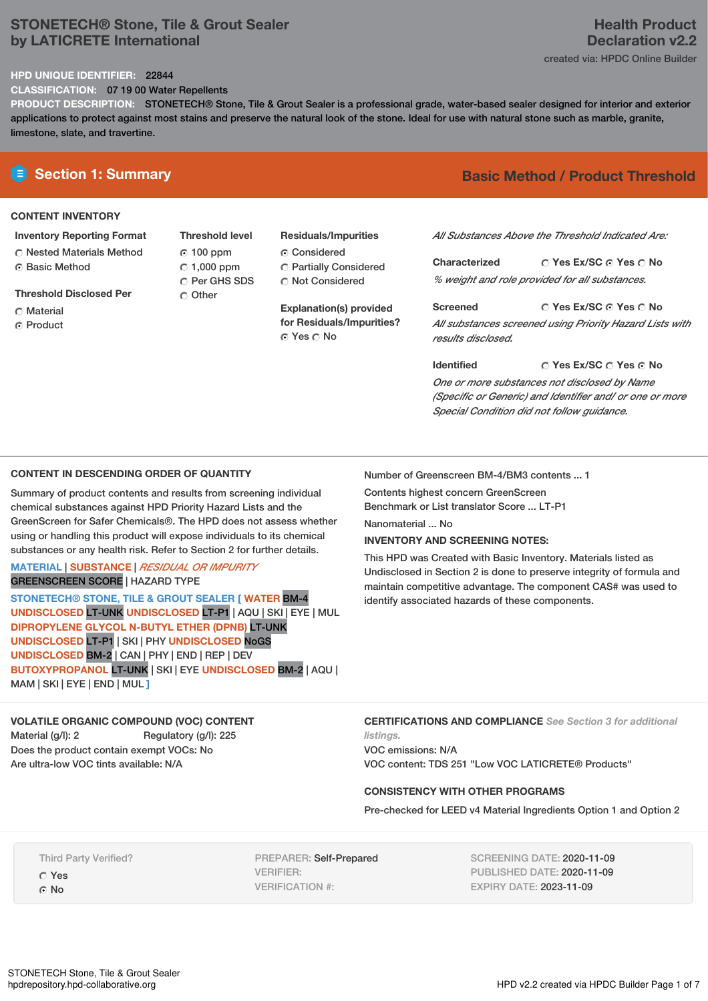## **STONETECH® Stone, Tile & Grout Sealer by LATICRETE International**

# **Health Product Declaration v2.2**

created via: HPDC Online Builder

#### **HPD UNIQUE IDENTIFIER:** 22844

**CLASSIFICATION:** 07 19 00 Water Repellents

**PRODUCT DESCRIPTION:** STONETECH® Stone, Tile & Grout Sealer is a professional grade, water-based sealer designed for interior and exterior applications to protect against most stains and preserve the natural look of the stone. Ideal for use with natural stone such as marble, granite, limestone, slate, and travertine.

#### **CONTENT INVENTORY**

#### **Inventory Reporting Format**

**C** Nested Materials Method ⊙ Basic Method

**Threshold Disclosed Per**

- C Material
- C Product

**Threshold level** 100 ppm  $\degree$  1,000 ppm C Per GHS SDS Other

# **Residuals/Impurities**

Considered Partially Considered C Not Considered

**Explanation(s) provided for Residuals/Impurities?** © Yes ○ No

# **E** Section 1: Summary **Basic Method / Product Threshold**

*All Substances Above the Threshold Indicated Are:*

**Yes Ex/SC Yes No Characterized** *% weight and role provided for all substances.*

**Yes Ex/SC Yes No Screened** *All substances screened using Priority Hazard Lists with results disclosed.*

**Yes Ex/SC Yes No Identified** *One or more substances not disclosed by Name (Specific or Generic) and Identifier and/ or one or more Special Condition did not follow guidance.*

#### **CONTENT IN DESCENDING ORDER OF QUANTITY**

Summary of product contents and results from screening individual chemical substances against HPD Priority Hazard Lists and the GreenScreen for Safer Chemicals®. The HPD does not assess whether using or handling this product will expose individuals to its chemical substances or any health risk. Refer to Section 2 for further details.

#### **MATERIAL** | **SUBSTANCE** | *RESIDUAL OR IMPURITY* GREENSCREEN SCORE | HAZARD TYPE

**STONETECH® STONE, TILE & GROUT SEALER [ WATER** BM-4 **UNDISCLOSED** LT-UNK **UNDISCLOSED** LT-P1 | AQU | SKI | EYE | MUL **DIPROPYLENE GLYCOL N-BUTYL ETHER (DPNB)** LT-UNK **UNDISCLOSED** LT-P1 | SKI | PHY **UNDISCLOSED** NoGS **UNDISCLOSED** BM-2 | CAN | PHY | END | REP | DEV **BUTOXYPROPANOL** LT-UNK | SKI | EYE **UNDISCLOSED** BM-2 | AQU | MAM | SKI | EYE | END | MUL **]**

### **VOLATILE ORGANIC COMPOUND (VOC) CONTENT**

Material (g/l): 2 Regulatory (g/l): 225 Does the product contain exempt VOCs: No Are ultra-low VOC tints available: N/A

Number of Greenscreen BM-4/BM3 contents ... 1

Contents highest concern GreenScreen Benchmark or List translator Score ... LT-P1

Nanomaterial ... No

#### **INVENTORY AND SCREENING NOTES:**

This HPD was Created with Basic Inventory. Materials listed as Undisclosed in Section 2 is done to preserve integrity of formula and maintain competitive advantage. The component CAS# was used to identify associated hazards of these components.

**CERTIFICATIONS AND COMPLIANCE** *See Section 3 for additional*

*listings.* VOC emissions: N/A VOC content: TDS 251 "Low VOC LATICRETE® Products"

#### **CONSISTENCY WITH OTHER PROGRAMS**

Pre-checked for LEED v4 Material Ingredients Option 1 and Option 2

Third Party Verified? Yes ⊙ No

PREPARER: Self-Prepared VERIFIER: VERIFICATION #:

SCREENING DATE: 2020-11-09 PUBLISHED DATE: 2020-11-09 EXPIRY DATE: 2023-11-09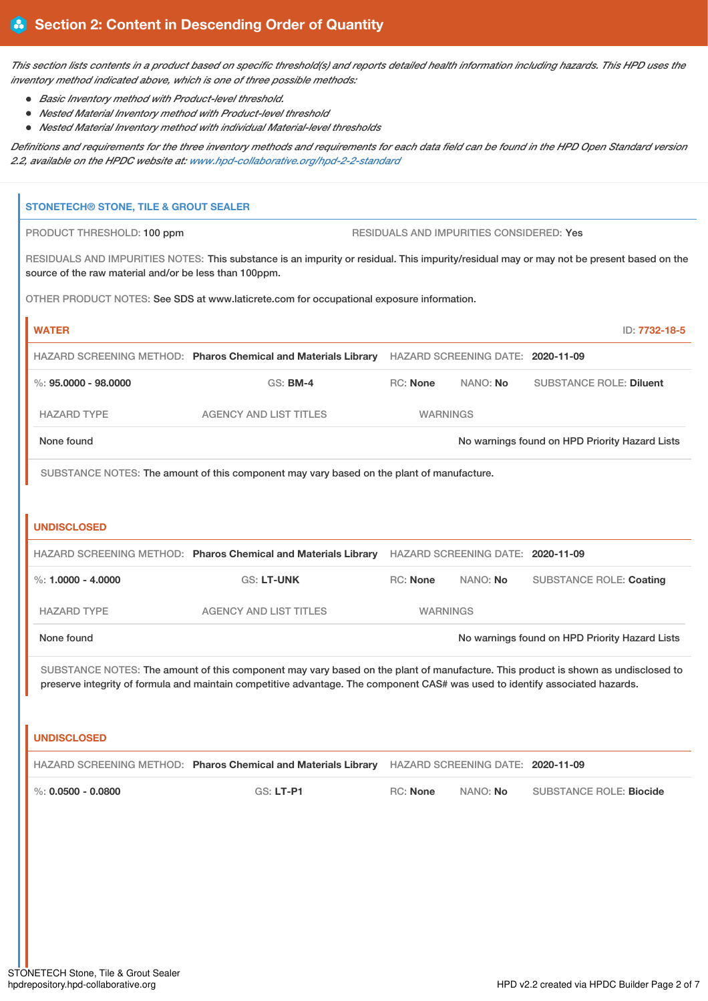This section lists contents in a product based on specific threshold(s) and reports detailed health information including hazards. This HPD uses the *inventory method indicated above, which is one of three possible methods:*

*Basic Inventory method with Product-level threshold.*

T

- *Nested Material Inventory method with Product-level threshold*
- *Nested Material Inventory method with individual Material-level thresholds*

Definitions and requirements for the three inventory methods and requirements for each data field can be found in the HPD Open Standard version *2.2, available on the HPDC website at: [www.hpd-collaborative.org/hpd-2-2-standard](https://www.hpd-collaborative.org/hpd-2-2-standard)*

| <b>STONETECH® STONE, TILE &amp; GROUT SEALER</b>       |                                                                                                                                                                                                                                                                    |                 |                                          |                                                |
|--------------------------------------------------------|--------------------------------------------------------------------------------------------------------------------------------------------------------------------------------------------------------------------------------------------------------------------|-----------------|------------------------------------------|------------------------------------------------|
| PRODUCT THRESHOLD: 100 ppm                             |                                                                                                                                                                                                                                                                    |                 | RESIDUALS AND IMPURITIES CONSIDERED: Yes |                                                |
| source of the raw material and/or be less than 100ppm. | RESIDUALS AND IMPURITIES NOTES: This substance is an impurity or residual. This impurity/residual may or may not be present based on the                                                                                                                           |                 |                                          |                                                |
|                                                        | OTHER PRODUCT NOTES: See SDS at www.laticrete.com for occupational exposure information.                                                                                                                                                                           |                 |                                          |                                                |
| <b>WATER</b>                                           |                                                                                                                                                                                                                                                                    |                 |                                          | ID: 7732-18-5                                  |
|                                                        | HAZARD SCREENING METHOD: Pharos Chemical and Materials Library HAZARD SCREENING DATE: 2020-11-09                                                                                                                                                                   |                 |                                          |                                                |
| $\%$ : 95.0000 - 98.0000                               | <b>GS: BM-4</b>                                                                                                                                                                                                                                                    | RC: None        | NANO: No                                 | <b>SUBSTANCE ROLE: Diluent</b>                 |
| <b>HAZARD TYPE</b>                                     | <b>AGENCY AND LIST TITLES</b>                                                                                                                                                                                                                                      | <b>WARNINGS</b> |                                          |                                                |
| None found                                             |                                                                                                                                                                                                                                                                    |                 |                                          | No warnings found on HPD Priority Hazard Lists |
|                                                        | SUBSTANCE NOTES: The amount of this component may vary based on the plant of manufacture.                                                                                                                                                                          |                 |                                          |                                                |
|                                                        |                                                                                                                                                                                                                                                                    |                 |                                          |                                                |
| <b>UNDISCLOSED</b>                                     |                                                                                                                                                                                                                                                                    |                 |                                          |                                                |
|                                                        | HAZARD SCREENING METHOD: Pharos Chemical and Materials Library HAZARD SCREENING DATE: 2020-11-09                                                                                                                                                                   |                 |                                          |                                                |
| %: $1,0000 - 4,0000$                                   | <b>GS: LT-UNK</b>                                                                                                                                                                                                                                                  | RC: None        | NANO: No                                 | <b>SUBSTANCE ROLE: Coating</b>                 |
| <b>HAZARD TYPE</b>                                     | <b>AGENCY AND LIST TITLES</b>                                                                                                                                                                                                                                      | <b>WARNINGS</b> |                                          |                                                |
| None found                                             |                                                                                                                                                                                                                                                                    |                 |                                          | No warnings found on HPD Priority Hazard Lists |
|                                                        | SUBSTANCE NOTES: The amount of this component may vary based on the plant of manufacture. This product is shown as undisclosed to<br>preserve integrity of formula and maintain competitive advantage. The component CAS# was used to identify associated hazards. |                 |                                          |                                                |
| <b>UNDISCLOSED</b>                                     |                                                                                                                                                                                                                                                                    |                 |                                          |                                                |
|                                                        | HAZARD SCREENING METHOD: Pharos Chemical and Materials Library HAZARD SCREENING DATE: 2020-11-09                                                                                                                                                                   |                 |                                          |                                                |
| $\%$ : 0.0500 - 0.0800                                 | <b>GS: LT-P1</b>                                                                                                                                                                                                                                                   | RC: None        | NANO: No                                 | <b>SUBSTANCE ROLE: Biocide</b>                 |
|                                                        |                                                                                                                                                                                                                                                                    |                 |                                          |                                                |
|                                                        |                                                                                                                                                                                                                                                                    |                 |                                          |                                                |
|                                                        |                                                                                                                                                                                                                                                                    |                 |                                          |                                                |
|                                                        |                                                                                                                                                                                                                                                                    |                 |                                          |                                                |
|                                                        |                                                                                                                                                                                                                                                                    |                 |                                          |                                                |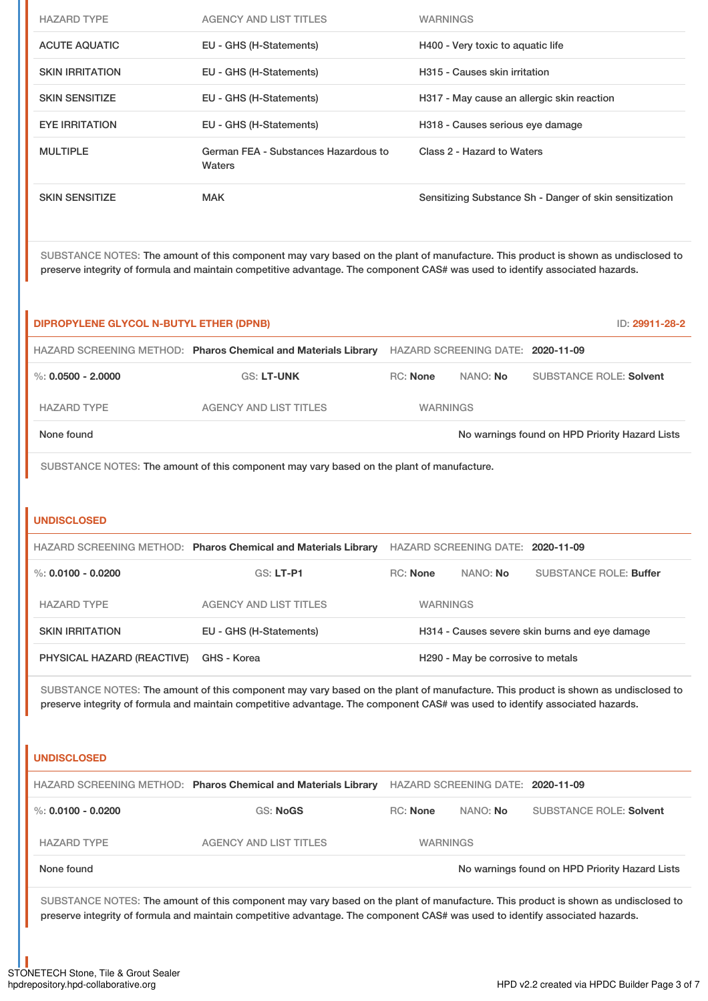| <b>HAZARD TYPE</b>     | <b>AGENCY AND LIST TITLES</b>                  | <b>WARNINGS</b>                                         |
|------------------------|------------------------------------------------|---------------------------------------------------------|
| <b>ACUTE AQUATIC</b>   | EU - GHS (H-Statements)                        | H400 - Very toxic to aquatic life                       |
| <b>SKIN IRRITATION</b> | EU - GHS (H-Statements)                        | H315 - Causes skin irritation                           |
| <b>SKIN SENSITIZE</b>  | EU - GHS (H-Statements)                        | H317 - May cause an allergic skin reaction              |
| <b>EYE IRRITATION</b>  | EU - GHS (H-Statements)                        | H318 - Causes serious eye damage                        |
| <b>MULTIPLE</b>        | German FEA - Substances Hazardous to<br>Waters | Class 2 - Hazard to Waters                              |
| <b>SKIN SENSITIZE</b>  | <b>MAK</b>                                     | Sensitizing Substance Sh - Danger of skin sensitization |

SUBSTANCE NOTES: The amount of this component may vary based on the plant of manufacture. This product is shown as undisclosed to preserve integrity of formula and maintain competitive advantage. The component CAS# was used to identify associated hazards.

| <b>DIPROPYLENE GLYCOL N-BUTYL ETHER (DPNB)</b><br>ID: 29911-28-2 |                                                                |                 |                                   |                                                |
|------------------------------------------------------------------|----------------------------------------------------------------|-----------------|-----------------------------------|------------------------------------------------|
|                                                                  | HAZARD SCREENING METHOD: Pharos Chemical and Materials Library |                 | HAZARD SCREENING DATE: 2020-11-09 |                                                |
| %: $0.0500 - 2.0000$                                             | <b>GS: LT-UNK</b>                                              | <b>RC:</b> None | NANO: No                          | <b>SUBSTANCE ROLE: Solvent</b>                 |
| <b>HAZARD TYPE</b>                                               | <b>AGENCY AND LIST TITLES</b>                                  | <b>WARNINGS</b> |                                   |                                                |
| None found                                                       |                                                                |                 |                                   | No warnings found on HPD Priority Hazard Lists |

SUBSTANCE NOTES: The amount of this component may vary based on the plant of manufacture.

#### **UNDISCLOSED**

|                            | HAZARD SCREENING METHOD: Pharos Chemical and Materials Library |                 | HAZARD SCREENING DATE: 2020-11-09             |                                                |
|----------------------------|----------------------------------------------------------------|-----------------|-----------------------------------------------|------------------------------------------------|
| %: 0.0100 - 0.0200         | $GS: LT-P1$                                                    | <b>RC:</b> None | NANO: No                                      | SUBSTANCE ROLE: Buffer                         |
| <b>HAZARD TYPE</b>         | <b>AGENCY AND LIST TITLES</b>                                  | <b>WARNINGS</b> |                                               |                                                |
| <b>SKIN IRRITATION</b>     | EU - GHS (H-Statements)                                        |                 |                                               | H314 - Causes severe skin burns and eye damage |
| PHYSICAL HAZARD (REACTIVE) | GHS - Korea                                                    |                 | H <sub>290</sub> - May be corrosive to metals |                                                |

SUBSTANCE NOTES: The amount of this component may vary based on the plant of manufacture. This product is shown as undisclosed to preserve integrity of formula and maintain competitive advantage. The component CAS# was used to identify associated hazards.

#### **UNDISCLOSED**

|                        | HAZARD SCREENING METHOD: Pharos Chemical and Materials Library |                 | HAZARD SCREENING DATE: 2020-11-09 |                                                |
|------------------------|----------------------------------------------------------------|-----------------|-----------------------------------|------------------------------------------------|
| $\%$ : 0.0100 - 0.0200 | <b>GS: NoGS</b>                                                | RC: None        | NANO: No                          | <b>SUBSTANCE ROLE: Solvent</b>                 |
| <b>HAZARD TYPE</b>     | AGENCY AND LIST TITLES                                         | <b>WARNINGS</b> |                                   |                                                |
| None found             |                                                                |                 |                                   | No warnings found on HPD Priority Hazard Lists |

SUBSTANCE NOTES: The amount of this component may vary based on the plant of manufacture. This product is shown as undisclosed to preserve integrity of formula and maintain competitive advantage. The component CAS# was used to identify associated hazards.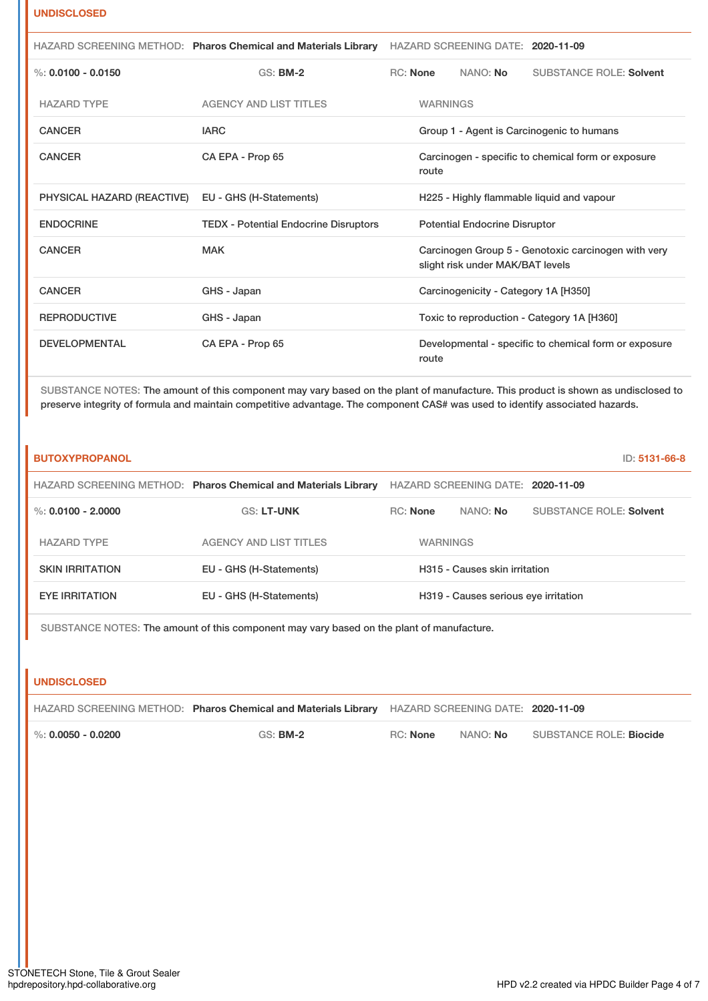#### **UNDISCLOSED**

|                            | HAZARD SCREENING METHOD: Pharos Chemical and Materials Library HAZARD SCREENING DATE: 2020-11-09 |                 |                                      |                                                       |
|----------------------------|--------------------------------------------------------------------------------------------------|-----------------|--------------------------------------|-------------------------------------------------------|
| %: $0.0100 - 0.0150$       | <b>GS: BM-2</b>                                                                                  | RC: None        | NANO: No                             | <b>SUBSTANCE ROLE: Solvent</b>                        |
| <b>HAZARD TYPE</b>         | <b>AGENCY AND LIST TITLES</b>                                                                    | <b>WARNINGS</b> |                                      |                                                       |
| <b>CANCER</b>              | <b>IARC</b>                                                                                      |                 |                                      | Group 1 - Agent is Carcinogenic to humans             |
| <b>CANCER</b>              | CA EPA - Prop 65                                                                                 | route           |                                      | Carcinogen - specific to chemical form or exposure    |
| PHYSICAL HAZARD (REACTIVE) | EU - GHS (H-Statements)                                                                          |                 |                                      | H225 - Highly flammable liquid and vapour             |
| <b>ENDOCRINE</b>           | <b>TEDX</b> - Potential Endocrine Disruptors                                                     |                 | <b>Potential Endocrine Disruptor</b> |                                                       |
| <b>CANCER</b>              | <b>MAK</b>                                                                                       |                 | slight risk under MAK/BAT levels     | Carcinogen Group 5 - Genotoxic carcinogen with very   |
| <b>CANCER</b>              | GHS - Japan                                                                                      |                 | Carcinogenicity - Category 1A [H350] |                                                       |
| <b>REPRODUCTIVE</b>        | GHS - Japan                                                                                      |                 |                                      | Toxic to reproduction - Category 1A [H360]            |
| <b>DEVELOPMENTAL</b>       | CA EPA - Prop 65                                                                                 | route           |                                      | Developmental - specific to chemical form or exposure |

SUBSTANCE NOTES: The amount of this component may vary based on the plant of manufacture. This product is shown as undisclosed to preserve integrity of formula and maintain competitive advantage. The component CAS# was used to identify associated hazards.

| <b>BUTOXYPROPANOL</b>  |                                                                |                 |                                      | ID: 5131-66-8           |
|------------------------|----------------------------------------------------------------|-----------------|--------------------------------------|-------------------------|
|                        | HAZARD SCREENING METHOD: Pharos Chemical and Materials Library |                 | HAZARD SCREENING DATE: 2020-11-09    |                         |
| %: $0.0100 - 2.0000$   | <b>GS: LT-UNK</b>                                              | <b>RC:</b> None | NANO: <b>No</b>                      | SUBSTANCE ROLE: Solvent |
| <b>HAZARD TYPE</b>     | <b>AGENCY AND LIST TITLES</b>                                  | <b>WARNINGS</b> |                                      |                         |
| <b>SKIN IRRITATION</b> | EU - GHS (H-Statements)                                        |                 | H315 - Causes skin irritation        |                         |
| <b>EYE IRRITATION</b>  | EU - GHS (H-Statements)                                        |                 | H319 - Causes serious eye irritation |                         |

SUBSTANCE NOTES: The amount of this component may vary based on the plant of manufacture.

#### **UNDISCLOSED**

|                        | HAZARD SCREENING METHOD: Pharos Chemical and Materials Library HAZARD SCREENING DATE: 2020-11-09 |          |          |                                |
|------------------------|--------------------------------------------------------------------------------------------------|----------|----------|--------------------------------|
| $\%$ : 0.0050 - 0.0200 | $GS:$ BM-2                                                                                       | RC: None | NANO: No | SUBSTANCE ROLE: <b>Biocide</b> |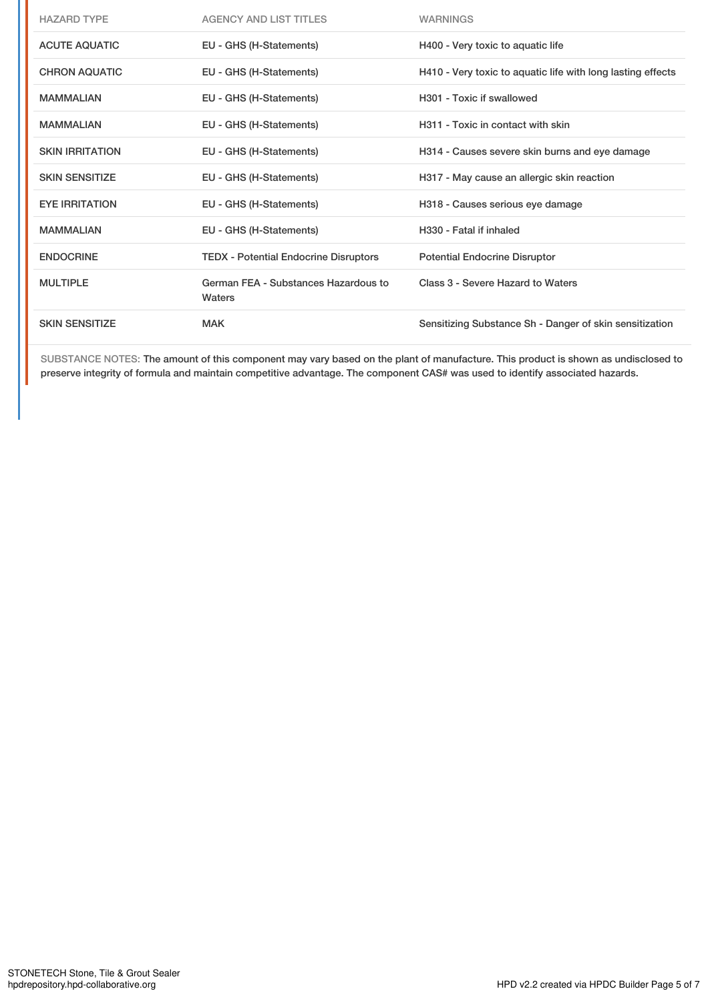| <b>HAZARD TYPE</b>     | <b>AGENCY AND LIST TITLES</b>                  | <b>WARNINGS</b>                                             |
|------------------------|------------------------------------------------|-------------------------------------------------------------|
| <b>ACUTE AQUATIC</b>   | EU - GHS (H-Statements)                        | H400 - Very toxic to aquatic life                           |
| <b>CHRON AQUATIC</b>   | EU - GHS (H-Statements)                        | H410 - Very toxic to aquatic life with long lasting effects |
| <b>MAMMALIAN</b>       | EU - GHS (H-Statements)                        | H301 - Toxic if swallowed                                   |
| <b>MAMMALIAN</b>       | EU - GHS (H-Statements)                        | H311 - Toxic in contact with skin                           |
| <b>SKIN IRRITATION</b> | EU - GHS (H-Statements)                        | H314 - Causes severe skin burns and eye damage              |
| <b>SKIN SENSITIZE</b>  | EU - GHS (H-Statements)                        | H317 - May cause an allergic skin reaction                  |
| <b>EYE IRRITATION</b>  | EU - GHS (H-Statements)                        | H318 - Causes serious eye damage                            |
| <b>MAMMALIAN</b>       | EU - GHS (H-Statements)                        | H330 - Fatal if inhaled                                     |
| <b>ENDOCRINE</b>       | <b>TEDX</b> - Potential Endocrine Disruptors   | <b>Potential Endocrine Disruptor</b>                        |
| <b>MULTIPLE</b>        | German FEA - Substances Hazardous to<br>Waters | Class 3 - Severe Hazard to Waters                           |
| <b>SKIN SENSITIZE</b>  | <b>MAK</b>                                     | Sensitizing Substance Sh - Danger of skin sensitization     |

SUBSTANCE NOTES: The amount of this component may vary based on the plant of manufacture. This product is shown as undisclosed to preserve integrity of formula and maintain competitive advantage. The component CAS# was used to identify associated hazards.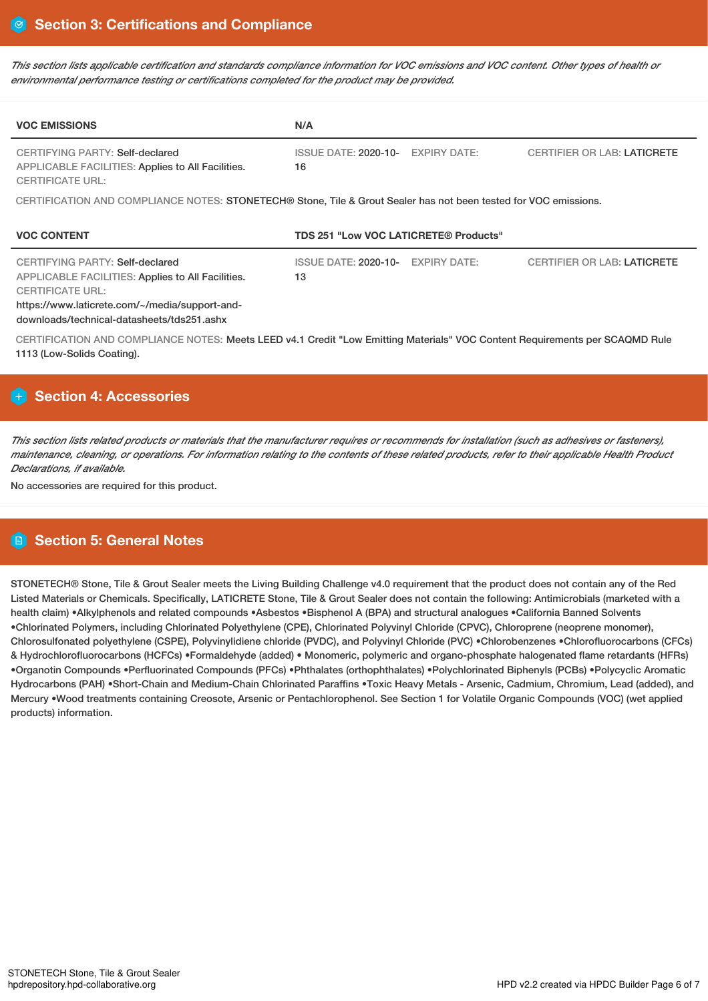This section lists applicable certification and standards compliance information for VOC emissions and VOC content. Other types of health or *environmental performance testing or certifications completed for the product may be provided.*

| <b>VOC EMISSIONS</b>                                                                                                                                                                                                   | N/A                                                      |                                    |
|------------------------------------------------------------------------------------------------------------------------------------------------------------------------------------------------------------------------|----------------------------------------------------------|------------------------------------|
| CERTIFYING PARTY: Self-declared<br>APPLICABLE FACILITIES: Applies to All Facilities.<br><b>CERTIFICATE URL:</b>                                                                                                        | <b>ISSUE DATE: 2020-10-</b><br><b>EXPIRY DATE:</b><br>16 | <b>CERTIFIER OR LAB: LATICRETE</b> |
| CERTIFICATION AND COMPLIANCE NOTES: STONETECH® Stone, Tile & Grout Sealer has not been tested for VOC emissions.                                                                                                       |                                                          |                                    |
| <b>VOC CONTENT</b>                                                                                                                                                                                                     | <b>TDS 251 "Low VOC LATICRETE® Products"</b>             |                                    |
| CERTIFYING PARTY: Self-declared<br><b>APPLICABLE FACILITIES: Applies to All Facilities.</b><br><b>CERTIFICATE URL:</b><br>https://www.laticrete.com/~/media/support-and-<br>downloads/technical-datasheets/tds251.ashx | ISSUE DATE: 2020-10-<br>EXPIRY DATE:<br>13               | <b>CERTIFIER OR LAB: LATICRETE</b> |
| CERTIFICATION AND COMPLIANCE NOTES: Meets LEED v4.1 Credit "Low Emitting Materials" VOC Content Requirements per SCAQMD Rule<br>1113 (Low-Solids Coating).                                                             |                                                          |                                    |

## **Section 4: Accessories**

This section lists related products or materials that the manufacturer requires or recommends for installation (such as adhesives or fasteners), maintenance, cleaning, or operations. For information relating to the contents of these related products, refer to their applicable Health Product *Declarations, if available.*

No accessories are required for this product.

## **Section 5: General Notes**

STONETECH® Stone, Tile & Grout Sealer meets the Living Building Challenge v4.0 requirement that the product does not contain any of the Red Listed Materials or Chemicals. Specifically, LATICRETE Stone, Tile & Grout Sealer does not contain the following: Antimicrobials (marketed with a health claim) •Alkylphenols and related compounds •Asbestos •Bisphenol A (BPA) and structural analogues •California Banned Solvents •Chlorinated Polymers, including Chlorinated Polyethylene (CPE), Chlorinated Polyvinyl Chloride (CPVC), Chloroprene (neoprene monomer), Chlorosulfonated polyethylene (CSPE), Polyvinylidiene chloride (PVDC), and Polyvinyl Chloride (PVC) •Chlorobenzenes •Chlorofluorocarbons (CFCs) & Hydrochlorofluorocarbons (HCFCs) •Formaldehyde (added) • Monomeric, polymeric and organo-phosphate halogenated flame retardants (HFRs) •Organotin Compounds •Perfluorinated Compounds (PFCs) •Phthalates (orthophthalates) •Polychlorinated Biphenyls (PCBs) •Polycyclic Aromatic Hydrocarbons (PAH) •Short-Chain and Medium-Chain Chlorinated Paraffins •Toxic Heavy Metals - Arsenic, Cadmium, Chromium, Lead (added), and Mercury •Wood treatments containing Creosote, Arsenic or Pentachlorophenol. See Section 1 for Volatile Organic Compounds (VOC) (wet applied products) information.